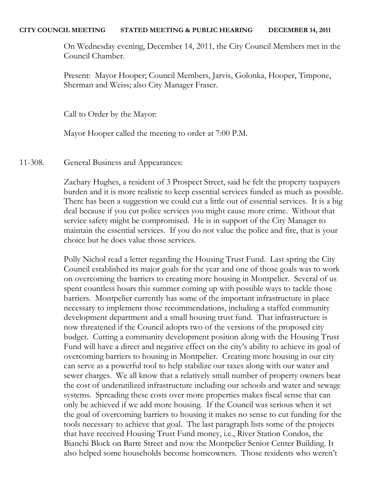#### **CITY COUNCIL MEETING STATED MEETING & PUBLIC HEARING DECEMBER 14, 2011**

On Wednesday evening, December 14, 2011, the City Council Members met in the Council Chamber.

Present: Mayor Hooper; Council Members, Jarvis, Golonka, Hooper, Timpone, Sherman and Weiss; also City Manager Fraser.

Call to Order by the Mayor:

Mayor Hooper called the meeting to order at 7:00 P.M.

11-308. General Business and Appearances:

Zachary Hughes, a resident of 3 Prospect Street, said he felt the property taxpayers burden and it is more realistic to keep essential services funded as much as possible. There has been a suggestion we could cut a little out of essential services. It is a big deal because if you cut police services you might cause more crime. Without that service safety might be compromised. He is in support of the City Manager to maintain the essential services. If you do not value the police and fire, that is your choice but he does value those services.

Polly Nichol read a letter regarding the Housing Trust Fund. Last spring the City Council established its major goals for the year and one of those goals was to work on overcoming the barriers to creating more housing in Montpelier. Several of us spent countless hours this summer coming up with possible ways to tackle those barriers. Montpelier currently has some of the important infrastructure in place necessary to implement those recommendations, including a staffed community development department and a small housing trust fund. That infrastructure is now threatened if the Council adopts two of the versions of the proposed city budget. Cutting a community development position along with the Housing Trust Fund will have a direct and negative effect on the city's ability to achieve its goal of overcoming barriers to housing in Montpelier. Creating more housing in our city can serve as a powerful tool to help stabilize our taxes along with our water and sewer charges. We all know that a relatively small number of property owners bear the cost of underutilized infrastructure including our schools and water and sewage systems. Spreading these costs over more properties makes fiscal sense that can only be achieved if we add more housing. If the Council was serious when it set the goal of overcoming barriers to housing it makes no sense to cut funding for the tools necessary to achieve that goal. The last paragraph lists some of the projects that have received Housing Trust Fund money, i.e., River Station Condos, the Bianchi Block on Barre Street and now the Montpelier Senior Center Building. It also helped some households become homeowners. Those residents who weren't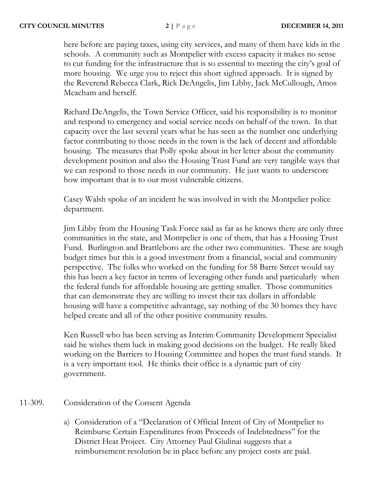here before are paying taxes, using city services, and many of them have kids in the schools. A community such as Montpelier with excess capacity it makes no sense to cut funding for the infrastructure that is so essential to meeting the city's goal of more housing. We urge you to reject this short sighted approach. It is signed by the Reverend Rebecca Clark, Rick DeAngelis, Jim Libby, Jack McCullough, Amos Meacham and herself.

Richard DeAngelis, the Town Service Officer, said his responsibility is to monitor and respond to emergency and social service needs on behalf of the town. In that capacity over the last several years what he has seen as the number one underlying factor contributing to those needs in the town is the lack of decent and affordable housing. The measures that Polly spoke about in her letter about the community development position and also the Housing Trust Fund are very tangible ways that we can respond to those needs in our community. He just wants to underscore how important that is to our most vulnerable citizens.

Casey Walsh spoke of an incident he was involved in with the Montpelier police department.

Jim Libby from the Housing Task Force said as far as he knows there are only three communities in the state, and Montpelier is one of them, that has a Housing Trust Fund. Burlington and Brattleboro are the other two communities. These are tough budget times but this is a good investment from a financial, social and community perspective. The folks who worked on the funding for 58 Barre Street would say this has been a key factor in terms of leveraging other funds and particularly when the federal funds for affordable housing are getting smaller. Those communities that can demonstrate they are willing to invest their tax dollars in affordable housing will have a competitive advantage, say nothing of the 30 homes they have helped create and all of the other positive community results.

Ken Russell who has been serving as Interim Community Development Specialist said he wishes them luck in making good decisions on the budget. He really liked working on the Barriers to Housing Committee and hopes the trust fund stands. It is a very important tool. He thinks their office is a dynamic part of city government.

# 11-309. Consideration of the Consent Agenda

a) Consideration of a "Declaration of Official Intent of City of Montpelier to Reimburse Certain Expenditures from Proceeds of Indebtedness" for the District Heat Project. City Attorney Paul Giulinai suggests that a reimbursement resolution be in place before any project costs are paid.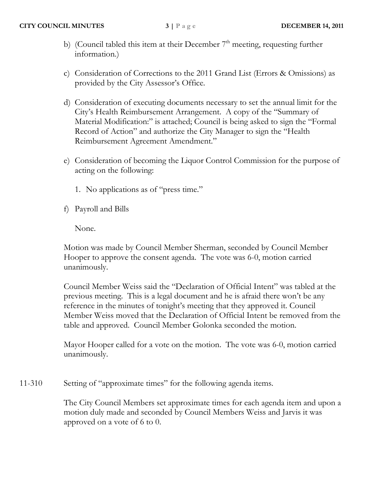- b) (Council tabled this item at their December  $7<sup>th</sup>$  meeting, requesting further information.)
- c) Consideration of Corrections to the 2011 Grand List (Errors & Omissions) as provided by the City Assessor's Office.
- d) Consideration of executing documents necessary to set the annual limit for the City's Health Reimbursement Arrangement. A copy of the "Summary of Material Modification:" is attached; Council is being asked to sign the "Formal Record of Action" and authorize the City Manager to sign the "Health Reimbursement Agreement Amendment."
- e) Consideration of becoming the Liquor Control Commission for the purpose of acting on the following:
	- 1. No applications as of "press time."
- f) Payroll and Bills

None.

Motion was made by Council Member Sherman, seconded by Council Member Hooper to approve the consent agenda. The vote was 6-0, motion carried unanimously.

Council Member Weiss said the "Declaration of Official Intent" was tabled at the previous meeting. This is a legal document and he is afraid there won't be any reference in the minutes of tonight's meeting that they approved it. Council Member Weiss moved that the Declaration of Official Intent be removed from the table and approved. Council Member Golonka seconded the motion.

Mayor Hooper called for a vote on the motion. The vote was 6-0, motion carried unanimously.

11-310 Setting of "approximate times" for the following agenda items.

The City Council Members set approximate times for each agenda item and upon a motion duly made and seconded by Council Members Weiss and Jarvis it was approved on a vote of 6 to 0.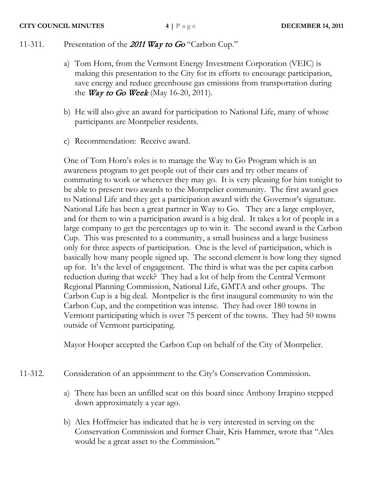# 11-311. Presentation of the 2011 Way to Go "Carbon Cup."

- a) Tom Horn, from the Vermont Energy Investment Corporation (VEIC) is making this presentation to the City for its efforts to encourage participation, save energy and reduce greenhouse gas emissions from transportation during the *Way to Go Week* (May 16-20, 2011).
- b) He will also give an award for participation to National Life, many of whose participants are Montpelier residents.
- c) Recommendation: Receive award.

One of Tom Horn's roles is to manage the Way to Go Program which is an awareness program to get people out of their cars and try other means of commuting to work or wherever they may go. It is very pleasing for him tonight to be able to present two awards to the Montpelier community. The first award goes to National Life and they get a participation award with the Governor's signature. National Life has been a great partner in Way to Go. They are a large employer, and for them to win a participation award is a big deal. It takes a lot of people in a large company to get the percentages up to win it. The second award is the Carbon Cup. This was presented to a community, a small business and a large business only for three aspects of participation. One is the level of participation, which is basically how many people signed up. The second element is how long they signed up for. It's the level of engagement. The third is what was the per capita carbon reduction during that week? They had a lot of help from the Central Vermont Regional Planning Commission, National Life, GMTA and other groups. The Carbon Cup is a big deal. Montpelier is the first inaugural community to win the Carbon Cup, and the competition was intense. They had over 180 towns in Vermont participating which is over 75 percent of the towns. They had 50 towns outside of Vermont participating.

Mayor Hooper accepted the Carbon Cup on behalf of the City of Montpelier.

- 11-312. Consideration of an appointment to the City's Conservation Commission.
	- a) There has been an unfilled seat on this board since Anthony Irrapino stepped down approximately a year ago.
	- b) Alex Hoffmeier has indicated that he is very interested in serving on the Conservation Commission and former Chair, Kris Hammer, wrote that "Alex would be a great asset to the Commission."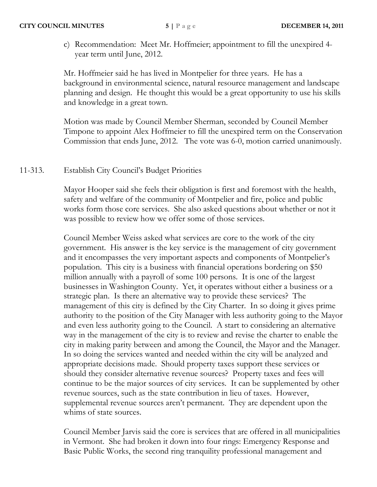c) Recommendation: Meet Mr. Hoffmeier; appointment to fill the unexpired 4 year term until June, 2012.

Mr. Hoffmeier said he has lived in Montpelier for three years. He has a background in environmental science, natural resource management and landscape planning and design. He thought this would be a great opportunity to use his skills and knowledge in a great town.

Motion was made by Council Member Sherman, seconded by Council Member Timpone to appoint Alex Hoffmeier to fill the unexpired term on the Conservation Commission that ends June, 2012. The vote was 6-0, motion carried unanimously.

# 11-313. Establish City Council's Budget Priorities

Mayor Hooper said she feels their obligation is first and foremost with the health, safety and welfare of the community of Montpelier and fire, police and public works form those core services. She also asked questions about whether or not it was possible to review how we offer some of those services.

Council Member Weiss asked what services are core to the work of the city government. His answer is the key service is the management of city government and it encompasses the very important aspects and components of Montpelier's population. This city is a business with financial operations bordering on \$50 million annually with a payroll of some 100 persons. It is one of the largest businesses in Washington County. Yet, it operates without either a business or a strategic plan. Is there an alternative way to provide these services? The management of this city is defined by the City Charter. In so doing it gives prime authority to the position of the City Manager with less authority going to the Mayor and even less authority going to the Council. A start to considering an alternative way in the management of the city is to review and revise the charter to enable the city in making parity between and among the Council, the Mayor and the Manager. In so doing the services wanted and needed within the city will be analyzed and appropriate decisions made. Should property taxes support these services or should they consider alternative revenue sources? Property taxes and fees will continue to be the major sources of city services. It can be supplemented by other revenue sources, such as the state contribution in lieu of taxes. However, supplemental revenue sources aren't permanent. They are dependent upon the whims of state sources.

Council Member Jarvis said the core is services that are offered in all municipalities in Vermont. She had broken it down into four rings: Emergency Response and Basic Public Works, the second ring tranquility professional management and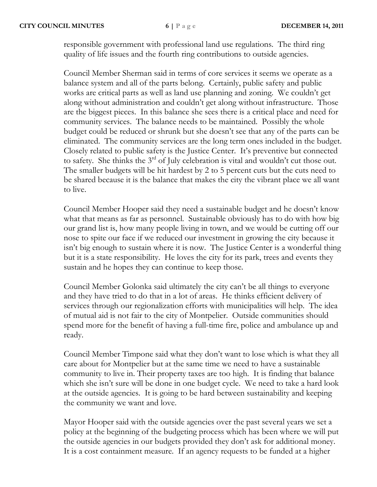responsible government with professional land use regulations. The third ring quality of life issues and the fourth ring contributions to outside agencies.

Council Member Sherman said in terms of core services it seems we operate as a balance system and all of the parts belong. Certainly, public safety and public works are critical parts as well as land use planning and zoning. We couldn't get along without administration and couldn't get along without infrastructure. Those are the biggest pieces. In this balance she sees there is a critical place and need for community services. The balance needs to be maintained. Possibly the whole budget could be reduced or shrunk but she doesn't see that any of the parts can be eliminated. The community services are the long term ones included in the budget. Closely related to public safety is the Justice Center. It's preventive but connected to safety. She thinks the  $3<sup>rd</sup>$  of July celebration is vital and wouldn't cut those out. The smaller budgets will be hit hardest by 2 to 5 percent cuts but the cuts need to be shared because it is the balance that makes the city the vibrant place we all want to live.

Council Member Hooper said they need a sustainable budget and he doesn't know what that means as far as personnel. Sustainable obviously has to do with how big our grand list is, how many people living in town, and we would be cutting off our nose to spite our face if we reduced our investment in growing the city because it isn't big enough to sustain where it is now. The Justice Center is a wonderful thing but it is a state responsibility. He loves the city for its park, trees and events they sustain and he hopes they can continue to keep those.

Council Member Golonka said ultimately the city can't be all things to everyone and they have tried to do that in a lot of areas. He thinks efficient delivery of services through our regionalization efforts with municipalities will help. The idea of mutual aid is not fair to the city of Montpelier. Outside communities should spend more for the benefit of having a full-time fire, police and ambulance up and ready.

Council Member Timpone said what they don't want to lose which is what they all care about for Montpelier but at the same time we need to have a sustainable community to live in. Their property taxes are too high. It is finding that balance which she isn't sure will be done in one budget cycle. We need to take a hard look at the outside agencies. It is going to be hard between sustainability and keeping the community we want and love.

Mayor Hooper said with the outside agencies over the past several years we set a policy at the beginning of the budgeting process which has been where we will put the outside agencies in our budgets provided they don't ask for additional money. It is a cost containment measure. If an agency requests to be funded at a higher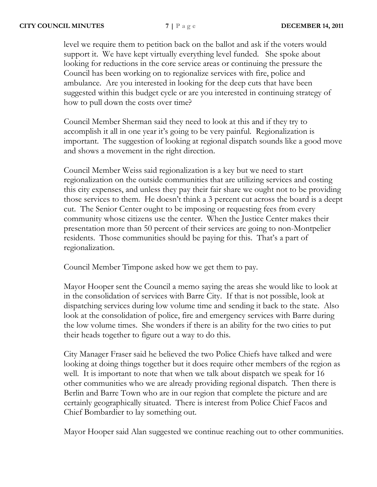level we require them to petition back on the ballot and ask if the voters would support it. We have kept virtually everything level funded. She spoke about looking for reductions in the core service areas or continuing the pressure the Council has been working on to regionalize services with fire, police and ambulance. Are you interested in looking for the deep cuts that have been suggested within this budget cycle or are you interested in continuing strategy of how to pull down the costs over time?

Council Member Sherman said they need to look at this and if they try to accomplish it all in one year it's going to be very painful. Regionalization is important. The suggestion of looking at regional dispatch sounds like a good move and shows a movement in the right direction.

Council Member Weiss said regionalization is a key but we need to start regionalization on the outside communities that are utilizing services and costing this city expenses, and unless they pay their fair share we ought not to be providing those services to them. He doesn't think a 3 percent cut across the board is a deept cut. The Senior Center ought to be imposing or requesting fees from every community whose citizens use the center. When the Justice Center makes their presentation more than 50 percent of their services are going to non-Montpelier residents. Those communities should be paying for this. That's a part of regionalization.

Council Member Timpone asked how we get them to pay.

Mayor Hooper sent the Council a memo saying the areas she would like to look at in the consolidation of services with Barre City. If that is not possible, look at dispatching services during low volume time and sending it back to the state. Also look at the consolidation of police, fire and emergency services with Barre during the low volume times. She wonders if there is an ability for the two cities to put their heads together to figure out a way to do this.

City Manager Fraser said he believed the two Police Chiefs have talked and were looking at doing things together but it does require other members of the region as well. It is important to note that when we talk about dispatch we speak for 16 other communities who we are already providing regional dispatch. Then there is Berlin and Barre Town who are in our region that complete the picture and are certainly geographically situated. There is interest from Police Chief Facos and Chief Bombardier to lay something out.

Mayor Hooper said Alan suggested we continue reaching out to other communities.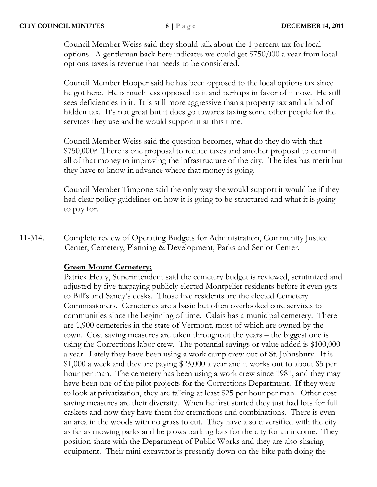Council Member Weiss said they should talk about the 1 percent tax for local options. A gentleman back here indicates we could get \$750,000 a year from local options taxes is revenue that needs to be considered.

Council Member Hooper said he has been opposed to the local options tax since he got here. He is much less opposed to it and perhaps in favor of it now. He still sees deficiencies in it. It is still more aggressive than a property tax and a kind of hidden tax. It's not great but it does go towards taxing some other people for the services they use and he would support it at this time.

Council Member Weiss said the question becomes, what do they do with that \$750,000? There is one proposal to reduce taxes and another proposal to commit all of that money to improving the infrastructure of the city. The idea has merit but they have to know in advance where that money is going.

Council Member Timpone said the only way she would support it would be if they had clear policy guidelines on how it is going to be structured and what it is going to pay for.

11-314. Complete review of Operating Budgets for Administration, Community Justice Center, Cemetery, Planning & Development, Parks and Senior Center.

# **Green Mount Cemetery;**

Patrick Healy, Superintendent said the cemetery budget is reviewed, scrutinized and adjusted by five taxpaying publicly elected Montpelier residents before it even gets to Bill's and Sandy's desks. Those five residents are the elected Cemetery Commissioners. Cemeteries are a basic but often overlooked core services to communities since the beginning of time. Calais has a municipal cemetery. There are 1,900 cemeteries in the state of Vermont, most of which are owned by the town. Cost saving measures are taken throughout the years – the biggest one is using the Corrections labor crew. The potential savings or value added is \$100,000 a year. Lately they have been using a work camp crew out of St. Johnsbury. It is \$1,000 a week and they are paying \$23,000 a year and it works out to about \$5 per hour per man. The cemetery has been using a work crew since 1981, and they may have been one of the pilot projects for the Corrections Department. If they were to look at privatization, they are talking at least \$25 per hour per man. Other cost saving measures are their diversity. When he first started they just had lots for full caskets and now they have them for cremations and combinations. There is even an area in the woods with no grass to cut. They have also diversified with the city as far as mowing parks and he plows parking lots for the city for an income. They position share with the Department of Public Works and they are also sharing equipment. Their mini excavator is presently down on the bike path doing the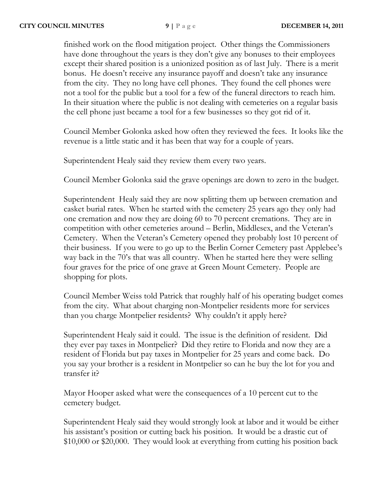finished work on the flood mitigation project. Other things the Commissioners have done throughout the years is they don't give any bonuses to their employees except their shared position is a unionized position as of last July. There is a merit bonus. He doesn't receive any insurance payoff and doesn't take any insurance from the city. They no long have cell phones. They found the cell phones were not a tool for the public but a tool for a few of the funeral directors to reach him. In their situation where the public is not dealing with cemeteries on a regular basis the cell phone just became a tool for a few businesses so they got rid of it.

Council Member Golonka asked how often they reviewed the fees. It looks like the revenue is a little static and it has been that way for a couple of years.

Superintendent Healy said they review them every two years.

Council Member Golonka said the grave openings are down to zero in the budget.

Superintendent Healy said they are now splitting them up between cremation and casket burial rates. When he started with the cemetery 25 years ago they only had one cremation and now they are doing 60 to 70 percent cremations. They are in competition with other cemeteries around – Berlin, Middlesex, and the Veteran's Cemetery. When the Veteran's Cemetery opened they probably lost 10 percent of their business. If you were to go up to the Berlin Corner Cemetery past Applebee's way back in the 70's that was all country. When he started here they were selling four graves for the price of one grave at Green Mount Cemetery. People are shopping for plots.

Council Member Weiss told Patrick that roughly half of his operating budget comes from the city. What about charging non-Montpelier residents more for services than you charge Montpelier residents? Why couldn't it apply here?

Superintendent Healy said it could. The issue is the definition of resident. Did they ever pay taxes in Montpelier? Did they retire to Florida and now they are a resident of Florida but pay taxes in Montpelier for 25 years and come back. Do you say your brother is a resident in Montpelier so can he buy the lot for you and transfer it?

Mayor Hooper asked what were the consequences of a 10 percent cut to the cemetery budget.

Superintendent Healy said they would strongly look at labor and it would be either his assistant's position or cutting back his position. It would be a drastic cut of \$10,000 or \$20,000. They would look at everything from cutting his position back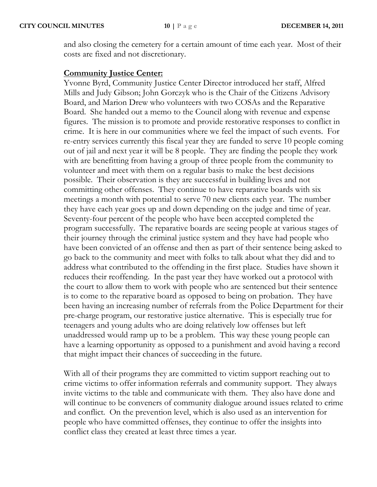and also closing the cemetery for a certain amount of time each year. Most of their costs are fixed and not discretionary.

### **Community Justice Center:**

Yvonne Byrd, Community Justice Center Director introduced her staff, Alfred Mills and Judy Gibson; John Gorczyk who is the Chair of the Citizens Advisory Board, and Marion Drew who volunteers with two COSAs and the Reparative Board. She handed out a memo to the Council along with revenue and expense figures. The mission is to promote and provide restorative responses to conflict in crime. It is here in our communities where we feel the impact of such events. For re-entry services currently this fiscal year they are funded to serve 10 people coming out of jail and next year it will be 8 people. They are finding the people they work with are benefitting from having a group of three people from the community to volunteer and meet with them on a regular basis to make the best decisions possible. Their observation is they are successful in building lives and not committing other offenses. They continue to have reparative boards with six meetings a month with potential to serve 70 new clients each year. The number they have each year goes up and down depending on the judge and time of year. Seventy-four percent of the people who have been accepted completed the program successfully. The reparative boards are seeing people at various stages of their journey through the criminal justice system and they have had people who have been convicted of an offense and then as part of their sentence being asked to go back to the community and meet with folks to talk about what they did and to address what contributed to the offending in the first place. Studies have shown it reduces their reoffending. In the past year they have worked out a protocol with the court to allow them to work with people who are sentenced but their sentence is to come to the reparative board as opposed to being on probation. They have been having an increasing number of referrals from the Police Department for their pre-charge program, our restorative justice alternative. This is especially true for teenagers and young adults who are doing relatively low offenses but left unaddressed would ramp up to be a problem. This way these young people can have a learning opportunity as opposed to a punishment and avoid having a record that might impact their chances of succeeding in the future.

With all of their programs they are committed to victim support reaching out to crime victims to offer information referrals and community support. They always invite victims to the table and communicate with them. They also have done and will continue to be conveners of community dialogue around issues related to crime and conflict. On the prevention level, which is also used as an intervention for people who have committed offenses, they continue to offer the insights into conflict class they created at least three times a year.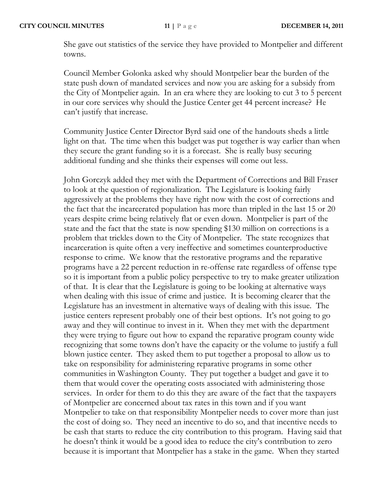She gave out statistics of the service they have provided to Montpelier and different towns.

Council Member Golonka asked why should Montpelier bear the burden of the state push down of mandated services and now you are asking for a subsidy from the City of Montpelier again. In an era where they are looking to cut 3 to 5 percent in our core services why should the Justice Center get 44 percent increase? He can't justify that increase.

Community Justice Center Director Byrd said one of the handouts sheds a little light on that. The time when this budget was put together is way earlier than when they secure the grant funding so it is a forecast. She is really busy securing additional funding and she thinks their expenses will come out less.

John Gorczyk added they met with the Department of Corrections and Bill Fraser to look at the question of regionalization. The Legislature is looking fairly aggressively at the problems they have right now with the cost of corrections and the fact that the incarcerated population has more than tripled in the last 15 or 20 years despite crime being relatively flat or even down. Montpelier is part of the state and the fact that the state is now spending \$130 million on corrections is a problem that trickles down to the City of Montpelier. The state recognizes that incarceration is quite often a very ineffective and sometimes counterproductive response to crime. We know that the restorative programs and the reparative programs have a 22 percent reduction in re-offense rate regardless of offense type so it is important from a public policy perspective to try to make greater utilization of that. It is clear that the Legislature is going to be looking at alternative ways when dealing with this issue of crime and justice. It is becoming clearer that the Legislature has an investment in alternative ways of dealing with this issue. The justice centers represent probably one of their best options. It's not going to go away and they will continue to invest in it. When they met with the department they were trying to figure out how to expand the reparative program county wide recognizing that some towns don't have the capacity or the volume to justify a full blown justice center. They asked them to put together a proposal to allow us to take on responsibility for administering reparative programs in some other communities in Washington County. They put together a budget and gave it to them that would cover the operating costs associated with administering those services. In order for them to do this they are aware of the fact that the taxpayers of Montpelier are concerned about tax rates in this town and if you want Montpelier to take on that responsibility Montpelier needs to cover more than just the cost of doing so. They need an incentive to do so, and that incentive needs to be cash that starts to reduce the city contribution to this program. Having said that he doesn't think it would be a good idea to reduce the city's contribution to zero because it is important that Montpelier has a stake in the game. When they started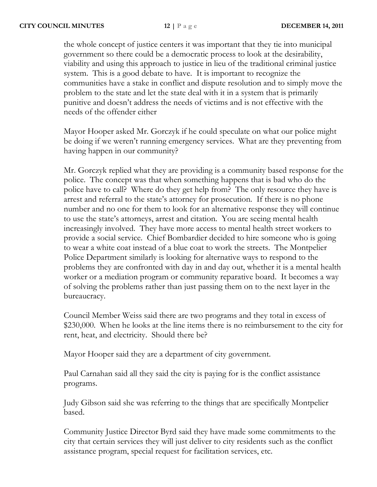the whole concept of justice centers it was important that they tie into municipal government so there could be a democratic process to look at the desirability, viability and using this approach to justice in lieu of the traditional criminal justice system. This is a good debate to have. It is important to recognize the communities have a stake in conflict and dispute resolution and to simply move the problem to the state and let the state deal with it in a system that is primarily punitive and doesn't address the needs of victims and is not effective with the needs of the offender either

Mayor Hooper asked Mr. Gorczyk if he could speculate on what our police might be doing if we weren't running emergency services. What are they preventing from having happen in our community?

Mr. Gorczyk replied what they are providing is a community based response for the police. The concept was that when something happens that is bad who do the police have to call? Where do they get help from? The only resource they have is arrest and referral to the state's attorney for prosecution. If there is no phone number and no one for them to look for an alternative response they will continue to use the state's attorneys, arrest and citation. You are seeing mental health increasingly involved. They have more access to mental health street workers to provide a social service. Chief Bombardier decided to hire someone who is going to wear a white coat instead of a blue coat to work the streets. The Montpelier Police Department similarly is looking for alternative ways to respond to the problems they are confronted with day in and day out, whether it is a mental health worker or a mediation program or community reparative board. It becomes a way of solving the problems rather than just passing them on to the next layer in the bureaucracy.

Council Member Weiss said there are two programs and they total in excess of \$230,000. When he looks at the line items there is no reimbursement to the city for rent, heat, and electricity. Should there be?

Mayor Hooper said they are a department of city government.

Paul Carnahan said all they said the city is paying for is the conflict assistance programs.

Judy Gibson said she was referring to the things that are specifically Montpelier based.

Community Justice Director Byrd said they have made some commitments to the city that certain services they will just deliver to city residents such as the conflict assistance program, special request for facilitation services, etc.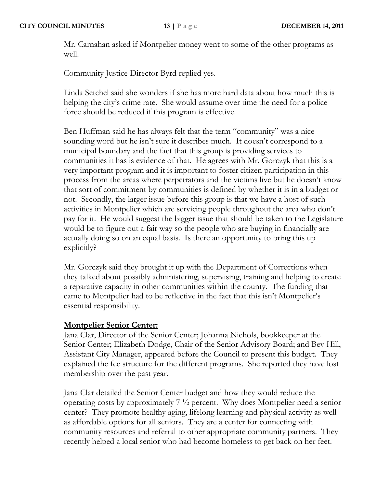Mr. Carnahan asked if Montpelier money went to some of the other programs as well.

Community Justice Director Byrd replied yes.

Linda Setchel said she wonders if she has more hard data about how much this is helping the city's crime rate. She would assume over time the need for a police force should be reduced if this program is effective.

Ben Huffman said he has always felt that the term "community" was a nice sounding word but he isn't sure it describes much. It doesn't correspond to a municipal boundary and the fact that this group is providing services to communities it has is evidence of that. He agrees with Mr. Gorczyk that this is a very important program and it is important to foster citizen participation in this process from the areas where perpetrators and the victims live but he doesn't know that sort of commitment by communities is defined by whether it is in a budget or not. Secondly, the larger issue before this group is that we have a host of such activities in Montpelier which are servicing people throughout the area who don't pay for it. He would suggest the bigger issue that should be taken to the Legislature would be to figure out a fair way so the people who are buying in financially are actually doing so on an equal basis. Is there an opportunity to bring this up explicitly?

Mr. Gorczyk said they brought it up with the Department of Corrections when they talked about possibly administering, supervising, training and helping to create a reparative capacity in other communities within the county. The funding that came to Montpelier had to be reflective in the fact that this isn't Montpelier's essential responsibility.

### **Montpelier Senior Center:**

Jana Clar, Director of the Senior Center; Johanna Nichols, bookkeeper at the Senior Center; Elizabeth Dodge, Chair of the Senior Advisory Board; and Bev Hill, Assistant City Manager, appeared before the Council to present this budget. They explained the fee structure for the different programs. She reported they have lost membership over the past year.

Jana Clar detailed the Senior Center budget and how they would reduce the operating costs by approximately 7 ½ percent. Why does Montpelier need a senior center? They promote healthy aging, lifelong learning and physical activity as well as affordable options for all seniors. They are a center for connecting with community resources and referral to other appropriate community partners. They recently helped a local senior who had become homeless to get back on her feet.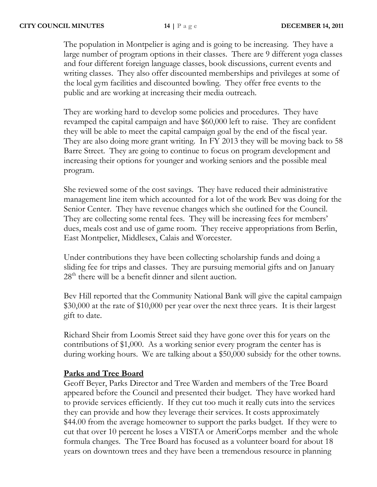The population in Montpelier is aging and is going to be increasing. They have a large number of program options in their classes. There are 9 different yoga classes and four different foreign language classes, book discussions, current events and writing classes. They also offer discounted memberships and privileges at some of the local gym facilities and discounted bowling. They offer free events to the public and are working at increasing their media outreach.

They are working hard to develop some policies and procedures. They have revamped the capital campaign and have \$60,000 left to raise. They are confident they will be able to meet the capital campaign goal by the end of the fiscal year. They are also doing more grant writing. In FY 2013 they will be moving back to 58 Barre Street. They are going to continue to focus on program development and increasing their options for younger and working seniors and the possible meal program.

She reviewed some of the cost savings. They have reduced their administrative management line item which accounted for a lot of the work Bev was doing for the Senior Center. They have revenue changes which she outlined for the Council. They are collecting some rental fees. They will be increasing fees for members' dues, meals cost and use of game room. They receive appropriations from Berlin, East Montpelier, Middlesex, Calais and Worcester.

Under contributions they have been collecting scholarship funds and doing a sliding fee for trips and classes. They are pursuing memorial gifts and on January  $28<sup>th</sup>$  there will be a benefit dinner and silent auction.

Bev Hill reported that the Community National Bank will give the capital campaign \$30,000 at the rate of \$10,000 per year over the next three years. It is their largest gift to date.

Richard Sheir from Loomis Street said they have gone over this for years on the contributions of \$1,000. As a working senior every program the center has is during working hours. We are talking about a \$50,000 subsidy for the other towns.

### **Parks and Tree Board**

Geoff Beyer, Parks Director and Tree Warden and members of the Tree Board appeared before the Council and presented their budget. They have worked hard to provide services efficiently. If they cut too much it really cuts into the services they can provide and how they leverage their services. It costs approximately \$44.00 from the average homeowner to support the parks budget. If they were to cut that over 10 percent he loses a VISTA or AmeriCorps member and the whole formula changes. The Tree Board has focused as a volunteer board for about 18 years on downtown trees and they have been a tremendous resource in planning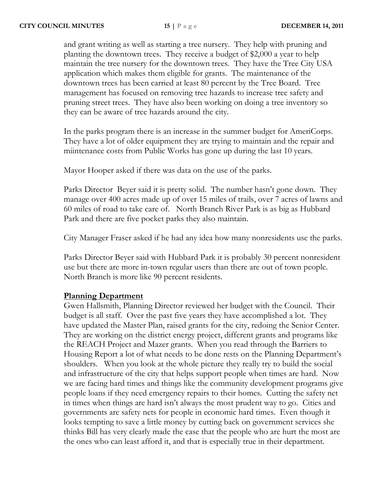and grant writing as well as starting a tree nursery. They help with pruning and planting the downtown trees. They receive a budget of \$2,000 a year to help maintain the tree nursery for the downtown trees. They have the Tree City USA application which makes them eligible for grants. The maintenance of the downtown trees has been carried at least 80 percent by the Tree Board. Tree management has focused on removing tree hazards to increase tree safety and pruning street trees. They have also been working on doing a tree inventory so they can be aware of tree hazards around the city.

In the parks program there is an increase in the summer budget for AmeriCorps. They have a lot of older equipment they are trying to maintain and the repair and miintenance costs from Public Works has gone up during the last 10 years.

Mayor Hooper asked if there was data on the use of the parks.

Parks Director Beyer said it is pretty solid. The number hasn't gone down. They manage over 400 acres made up of over 15 miles of trails, over 7 acres of lawns and 60 miles of road to take care of. North Branch River Park is as big as Hubbard Park and there are five pocket parks they also maintain.

City Manager Fraser asked if he had any idea how many nonresidents use the parks.

Parks Director Beyer said with Hubbard Park it is probably 30 percent nonresident use but there are more in-town regular users than there are out of town people. North Branch is more like 90 percent residents.

### **Planning Department**

Gwen Hallsmith, Planning Director reviewed her budget with the Council. Their budget is all staff. Over the past five years they have accomplished a lot. They have updated the Master Plan, raised grants for the city, redoing the Senior Center. They are working on the district energy project, different grants and programs like the REACH Project and Mazer grants. When you read through the Barriers to Housing Report a lot of what needs to be done rests on the Planning Department's shoulders. When you look at the whole picture they really try to build the social and infrastructure of the city that helps support people when times are hard. Now we are facing hard times and things like the community development programs give people loans if they need emergency repairs to their homes. Cutting the safety net in times when things are hard isn't always the most prudent way to go. Cities and governments are safety nets for people in economic hard times. Even though it looks tempting to save a little money by cutting back on government services she thinks Bill has very clearly made the case that the people who are hurt the most are the ones who can least afford it, and that is especially true in their department.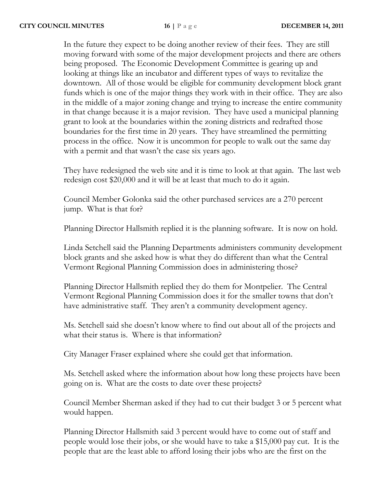In the future they expect to be doing another review of their fees. They are still moving forward with some of the major development projects and there are others being proposed. The Economic Development Committee is gearing up and looking at things like an incubator and different types of ways to revitalize the downtown. All of those would be eligible for community development block grant funds which is one of the major things they work with in their office. They are also in the middle of a major zoning change and trying to increase the entire community in that change because it is a major revision. They have used a municipal planning grant to look at the boundaries within the zoning districts and redrafted those boundaries for the first time in 20 years. They have streamlined the permitting process in the office. Now it is uncommon for people to walk out the same day with a permit and that wasn't the case six years ago.

They have redesigned the web site and it is time to look at that again. The last web redesign cost \$20,000 and it will be at least that much to do it again.

Council Member Golonka said the other purchased services are a 270 percent jump. What is that for?

Planning Director Hallsmith replied it is the planning software. It is now on hold.

Linda Setchell said the Planning Departments administers community development block grants and she asked how is what they do different than what the Central Vermont Regional Planning Commission does in administering those?

Planning Director Hallsmith replied they do them for Montpelier. The Central Vermont Regional Planning Commission does it for the smaller towns that don't have administrative staff. They aren't a community development agency.

Ms. Setchell said she doesn't know where to find out about all of the projects and what their status is. Where is that information?

City Manager Fraser explained where she could get that information.

Ms. Setchell asked where the information about how long these projects have been going on is. What are the costs to date over these projects?

Council Member Sherman asked if they had to cut their budget 3 or 5 percent what would happen.

Planning Director Hallsmith said 3 percent would have to come out of staff and people would lose their jobs, or she would have to take a \$15,000 pay cut. It is the people that are the least able to afford losing their jobs who are the first on the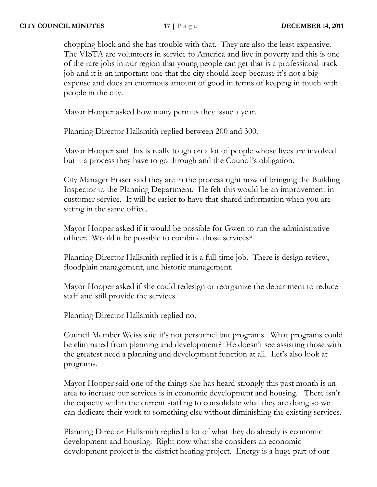chopping block and she has trouble with that. They are also the least expensive. The VISTA are volunteers in service to America and live in poverty and this is one of the rare jobs in our region that young people can get that is a professional track job and it is an important one that the city should keep because it's not a big expense and does an enormous amount of good in terms of keeping in touch with people in the city.

Mayor Hooper asked how many permits they issue a year.

Planning Director Hallsmith replied between 200 and 300.

Mayor Hooper said this is really tough on a lot of people whose lives are involved but it a process they have to go through and the Council's obligation.

City Manager Fraser said they are in the process right now of bringing the Building Inspector to the Planning Department. He felt this would be an improvement in customer service. It will be easier to have that shared information when you are sitting in the same office.

Mayor Hooper asked if it would be possible for Gwen to run the administrative officer. Would it be possible to combine those services?

Planning Director Hallsmith replied it is a full-time job. There is design review, floodplain management, and historic management.

Mayor Hooper asked if she could redesign or reorganize the department to reduce staff and still provide the services.

Planning Director Hallsmith replied no.

Council Member Weiss said it's not personnel but programs. What programs could be eliminated from planning and development? He doesn't see assisting those with the greatest need a planning and development function at all. Let's also look at programs.

Mayor Hooper said one of the things she has heard strongly this past month is an area to increase our services is in economic development and housing. There isn't the capacity within the current staffing to consolidate what they are doing so we can dedicate their work to something else without diminishing the existing services.

Planning Director Hallsmith replied a lot of what they do already is economic development and housing. Right now what she considers an economic development project is the district heating project. Energy is a huge part of our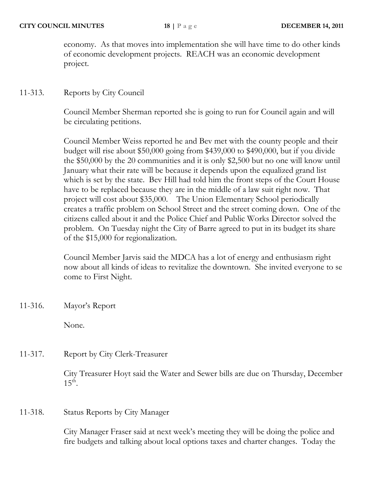economy. As that moves into implementation she will have time to do other kinds of economic development projects. REACH was an economic development project.

## 11-313. Reports by City Council

Council Member Sherman reported she is going to run for Council again and will be circulating petitions.

Council Member Weiss reported he and Bev met with the county people and their budget will rise about \$50,000 going from \$439,000 to \$490,000, but if you divide the \$50,000 by the 20 communities and it is only \$2,500 but no one will know until January what their rate will be because it depends upon the equalized grand list which is set by the state. Bev Hill had told him the front steps of the Court House have to be replaced because they are in the middle of a law suit right now. That project will cost about \$35,000. The Union Elementary School periodically creates a traffic problem on School Street and the street coming down. One of the citizens called about it and the Police Chief and Public Works Director solved the problem. On Tuesday night the City of Barre agreed to put in its budget its share of the \$15,000 for regionalization.

Council Member Jarvis said the MDCA has a lot of energy and enthusiasm right now about all kinds of ideas to revitalize the downtown. She invited everyone to se come to First Night.

11-316. Mayor's Report

None.

11-317. Report by City Clerk-Treasurer

City Treasurer Hoyt said the Water and Sewer bills are due on Thursday, December  $15^{\text{th}}$ .

11-318. Status Reports by City Manager

City Manager Fraser said at next week's meeting they will be doing the police and fire budgets and talking about local options taxes and charter changes. Today the